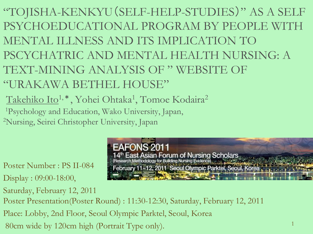"TOJISHA-KENKYU(SELF-HELP-STUDIES)" AS A SELF PSYCHOEDUCATIONAL PROGRAM BY PEOPLE WITH MENTAL ILLNESS AND ITS IMPLICATION TO PSCYCHATRIC AND MENTAL HEALTH NURSING: A TEXT-MINING ANALYSIS OF " WEBSITE OF "URAKAWA BETHEL HOUSE"  ${\rm Takehiko\ Ito^{1,*}},$  Yohei Ohtaka<sup>1</sup>, Tomoe Kodaira<sup>2</sup>

<sup>1</sup>Psychology and Education, Wako University, Japan, <sup>2</sup>Nursing, Seirei Christopher University, Japan

Poster Number : PS II-084 Display : 09:00-18:00,

Saturday, February 12, 2011

Poster Presentation(Poster Round) : 11:30-12:30, Saturday, February 12, 2011

Place: Lobby, 2nd Floor, Seoul Olympic Parktel, Seoul, Korea

80cm wide by 120cm high (Portrait Type only).

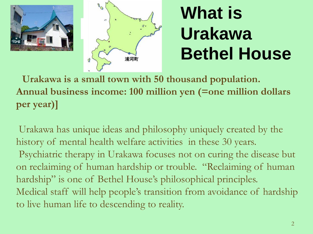



## **What is Urakawa Bethel House**

**Urakawa is a small town with 50 thousand population. Annual business income: 100 million yen (=one million dollars per year)]**

Urakawa has unique ideas and philosophy uniquely created by the history of mental health welfare activities in these 30 years. Psychiatric therapy in Urakawa focuses not on curing the disease but on reclaiming of human hardship or trouble. "Reclaiming of human hardship" is one of Bethel House's philosophical principles. Medical staff will help people's transition from avoidance of hardship to live human life to descending to reality.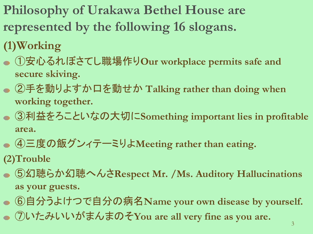- **Philosophy of Urakawa Bethel House are represented by the following 16 slogans.**
- **(1)Working**
- ①安心るれぼさてし職場作り**Our workplace permits safe and secure skiving.**
- ②手を動りよすか口を動せか **Talking rather than doing when working together.**
- ③利益をろこといなの大切に**Something important lies in profitable area.**
- ④三度の飯グンィテーミりよ**Meeting rather than eating.**
- **(2)Trouble**
- ⑤幻聴らか幻聴へんさ**Respect Mr. /Ms. Auditory Hallucinations as your guests.**
- ⑥自分うよけつで自分の病名**Name your own disease by yourself.**
- ⑦いたみいいがまんまのそ**You are all very fine as you are.**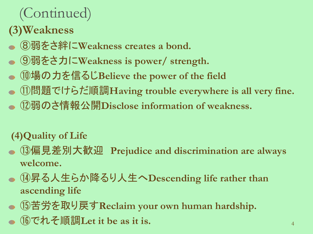# (Continued)

#### **(3)Weakness**

- ⑧弱をさ絆に**Weakness creates a bond.**
- ⑨弱をさ力に**Weakness is power/ strength.**
- ⑩場の力を信るじ**Believe the power of the field**
- ⑪問題でけらだ順調**Having trouble everywhere is all very fine.**
- ⑫弱のさ情報公開**Disclose information of weakness.**

#### **(4)Quality of Life**

- ⑬偏見差別大歓迎 **Prejudice and discrimination are always welcome.**
- ⑭昇る人生らか降るり人生へ**Descending life rather than ascending life**
- ⑮苦労を取り戻す**Reclaim your own human hardship.**
- ⑯でれそ順調**Let it be as it is.** <sup>4</sup>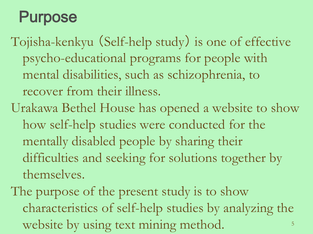### Purpose

Tojisha-kenkyu (Self-help study) is one of effective psycho-educational programs for people with mental disabilities, such as schizophrenia, to recover from their illness.

- Urakawa Bethel House has opened a website to show how self-help studies were conducted for the mentally disabled people by sharing their difficulties and seeking for solutions together by themselves.
- 5 The purpose of the present study is to show characteristics of self-help studies by analyzing the website by using text mining method.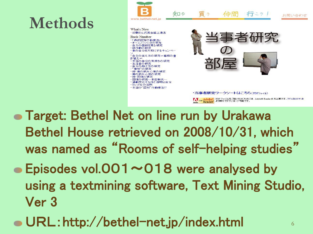



- Target: Bethel Net on line run by Urakawa Bethel House retrieved on 2008/10/31, which was named as "Rooms of self-helping studies"
- $\bullet$  Episodes vol.001 $\sim$ 018 were analysed by using a textmining software, Text Mining Studio, Ver 3
- URL:http://bethel-net.jp/index.html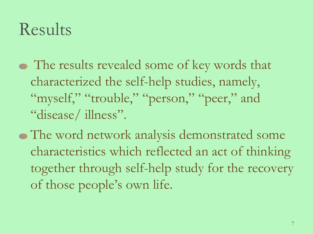### Results

- The results revealed some of key words that characterized the self-help studies, namely, "myself," "trouble," "person," "peer," and "disease/ illness".
- The word network analysis demonstrated some characteristics which reflected an act of thinking together through self-help study for the recovery of those people's own life.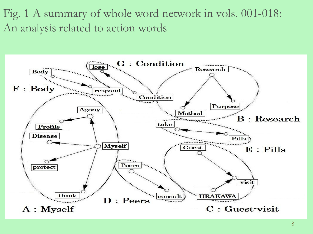Fig. 1 A summary of whole word network in vols. 001-018: An analysis related to action words

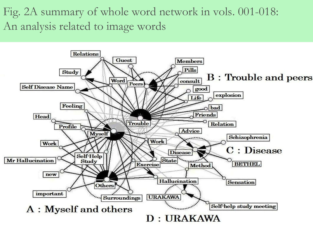#### Fig. 2A summary of whole word network in vols. 001-018: An analysis related to image words